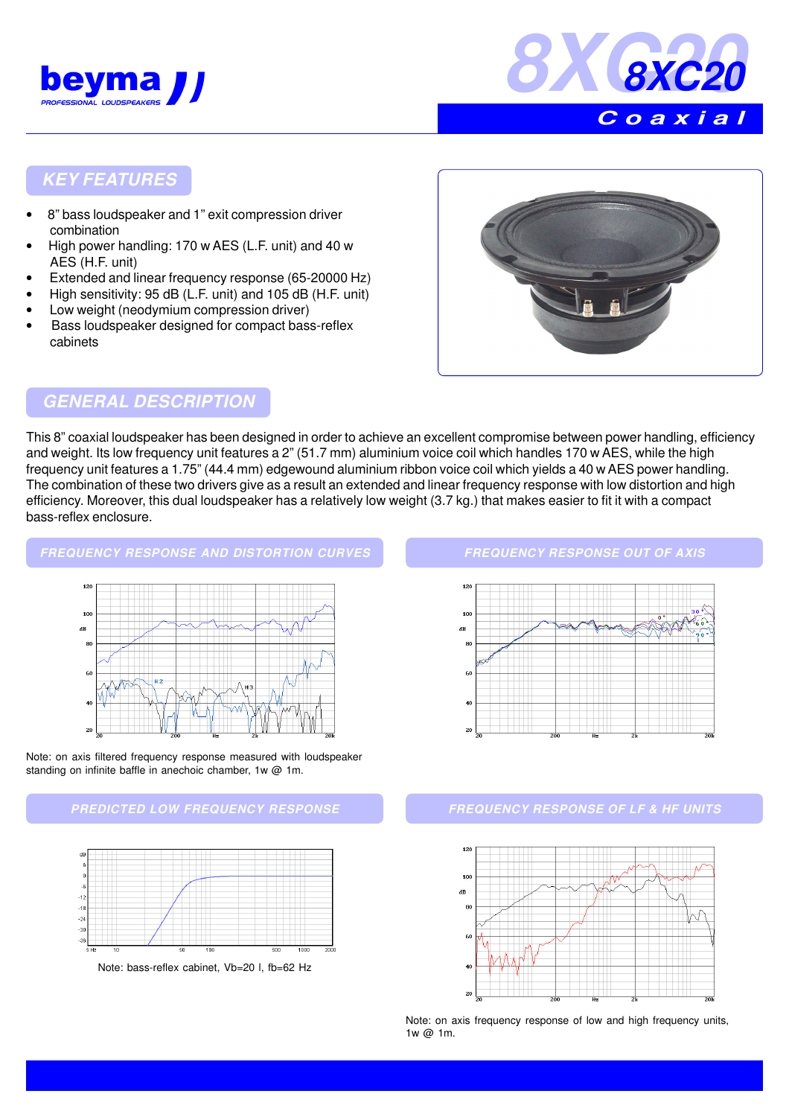



## **KEY FEATURES**

- 8" bass loudspeaker and 1" exit compression driver combination
- High power handling: 170 w AES (L.F. unit) and 40 w AES (H.F. unit)
- Extended and linear frequency response (65-20000 Hz)
- High sensitivity: 95 dB (L.F. unit) and 105 dB (H.F. unit)
- Low weight (neodymium compression driver)
- Bass loudspeaker designed for compact bass-reflex cabinets



## **GENERAL DESCRIPTION**

This 8" coaxial loudspeaker has been designed in order to achieve an excellent compromise between power handling, efficiency and weight. Its low frequency unit features a 2" (51.7 mm) aluminium voice coil which handles 170 w AES, while the high frequency unit features a 1.75" (44.4 mm) edgewound aluminium ribbon voice coil which yields a 40 w AES power handling. The combination of these two drivers give as a result an extended and linear frequency response with low distortion and high efficiency. Moreover, this dual loudspeaker has a relatively low weight (3.7 kg.) that makes easier to fit it with a compact bass-reflex enclosure.

### **FREQUENCY RESPONSE AND DISTORTION CURVES**





### **PREDICTED LOW FREQUENCY RESPONSE FREQUENCY RESPONSE OF LF & HF UNITS**



#### **FREQUENCY RESPONSE OUT OF AXIS**





Note: on axis frequency response of low and high frequency units, 1w @ 1m.